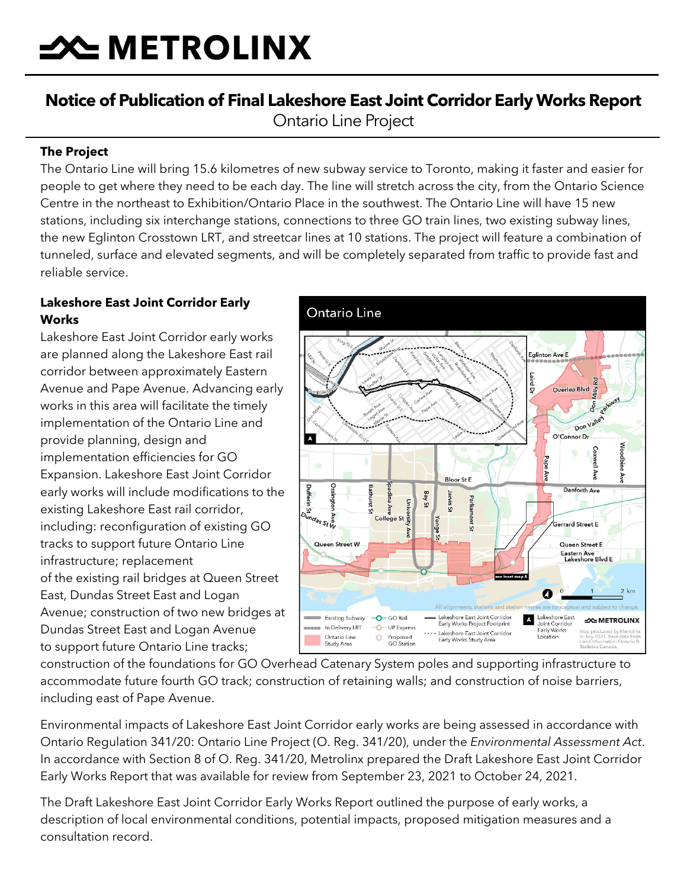# **SOUTHER THE MANUTION STATE**

## **Notice of Publication of Final Lakeshore East Joint Corridor Early Works Report**  Ontario Line Project

#### **The Project**

The Ontario Line will bring 15.6 kilometres of new subway service to Toronto, making it faster and easier for people to get where they need to be each day. The line will stretch across the city, from the Ontario Science Centre in the northeast to Exhibition/Ontario Place in the southwest. The Ontario Line will have 15 new stations, including six interchange stations, connections to three GO train lines, two existing subway lines, the new Eglinton Crosstown LRT, and streetcar lines at 10 stations. The project will feature a combination of tunneled, surface and elevated segments, and will be completely separated from traffic to provide fast and reliable service.

#### **Lakeshore East Joint Corridor Early Works**

Lakeshore East Joint Corridor early works are planned along the Lakeshore East rail corridor between approximately Eastern Avenue and Pape Avenue. Advancing early works in this area will facilitate the timely implementation of the Ontario Line and provide planning, design and implementation efficiencies for GO Expansion. Lakeshore East Joint Corridor early works will include modifications to the existing Lakeshore East rail corridor, including: reconfiguration of existing GO tracks to support future Ontario Line infrastructure; replacement of the existing rail bridges at Queen Street East, Dundas Street East and Logan Avenue; construction of two new bridges at Dundas Street East and Logan Avenue to support future Ontario Line tracks;



construction of the foundations for GO Overhead Catenary System poles and supporting infrastructure to accommodate future fourth GO track; construction of retaining walls; and construction of noise barriers, including east of Pape Avenue.

Environmental impacts of Lakeshore East Joint Corridor early works are being assessed in accordance with Ontario Regulation 341/20: Ontario Line Project (O. Reg. 341/20), under the *Environmental Assessment Act*. In accordance with Section 8 of O. Reg. 341/20, Metrolinx prepared the Draft Lakeshore East Joint Corridor Early Works Report that was available for review from September 23, 2021 to October 24, 2021.

The Draft Lakeshore East Joint Corridor Early Works Report outlined the purpose of early works, a description of local environmental conditions, potential impacts, proposed mitigation measures and a consultation record.